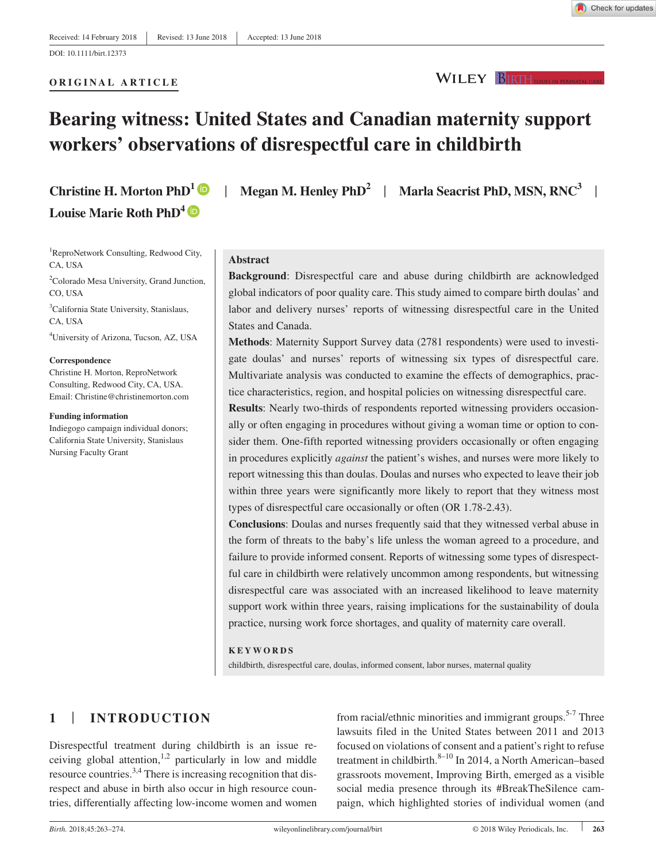**ORIGINAL ARTICLE**

**WILEY BIRTH ISSUES IN PERI** 

# **Bearing witness: United States and Canadian maternity support workers' observations of disrespectful care in childbirth**

**Louise Marie Roth PhD[4](http://orcid.org/0000-0002-6279-9714)**

<sup>1</sup>ReproNetwork Consulting, Redwood City, CA, USA

<sup>2</sup>Colorado Mesa University, Grand Junction, CO, USA

3 California State University, Stanislaus, CA, USA

4 University of Arizona, Tucson, AZ, USA

#### **Correspondence**

Christine H. Morton, ReproNetwork Consulting, Redwood City, CA, USA. Email: [Christine@christinemorton.com](mailto:Christine@christinemorton.com)

#### **Funding information**

Indiegogo campaign individual donors; California State University, Stanislaus Nursing Faculty Grant

**Christine H. Morton PhD[1](http://orcid.org/0000-0001-8505-9877)** | **Megan M. Henley PhD2** | **Marla Seacrist PhD, MSN, RNC3** |

## **Abstract**

**Background**: Disrespectful care and abuse during childbirth are acknowledged global indicators of poor quality care. This study aimed to compare birth doulas' and labor and delivery nurses' reports of witnessing disrespectful care in the United States and Canada.

**Methods**: Maternity Support Survey data (2781 respondents) were used to investigate doulas' and nurses' reports of witnessing six types of disrespectful care. Multivariate analysis was conducted to examine the effects of demographics, practice characteristics, region, and hospital policies on witnessing disrespectful care.

**Results**: Nearly two-thirds of respondents reported witnessing providers occasionally or often engaging in procedures without giving a woman time or option to consider them. One-fifth reported witnessing providers occasionally or often engaging in procedures explicitly *against* the patient's wishes, and nurses were more likely to report witnessing this than doulas. Doulas and nurses who expected to leave their job within three years were significantly more likely to report that they witness most types of disrespectful care occasionally or often (OR 1.78-2.43).

**Conclusions**: Doulas and nurses frequently said that they witnessed verbal abuse in the form of threats to the baby's life unless the woman agreed to a procedure, and failure to provide informed consent. Reports of witnessing some types of disrespectful care in childbirth were relatively uncommon among respondents, but witnessing disrespectful care was associated with an increased likelihood to leave maternity support work within three years, raising implications for the sustainability of doula practice, nursing work force shortages, and quality of maternity care overall.

#### **KEYWORDS**

childbirth, disrespectful care, doulas, informed consent, labor nurses, maternal quality

# **1** | **INTRODUCTION**

Disrespectful treatment during childbirth is an issue receiving global attention,<sup>1,2</sup> particularly in low and middle resource countries.<sup>3,4</sup> There is increasing recognition that disrespect and abuse in birth also occur in high resource countries, differentially affecting low-income women and women from racial/ethnic minorities and immigrant groups. $5-7$  Three lawsuits filed in the United States between 2011 and 2013 focused on violations of consent and a patient's right to refuse treatment in childbirth.<sup>8–10</sup> In 2014, a North American–based grassroots movement, Improving Birth, emerged as a visible social media presence through its #BreakTheSilence campaign, which highlighted stories of individual women (and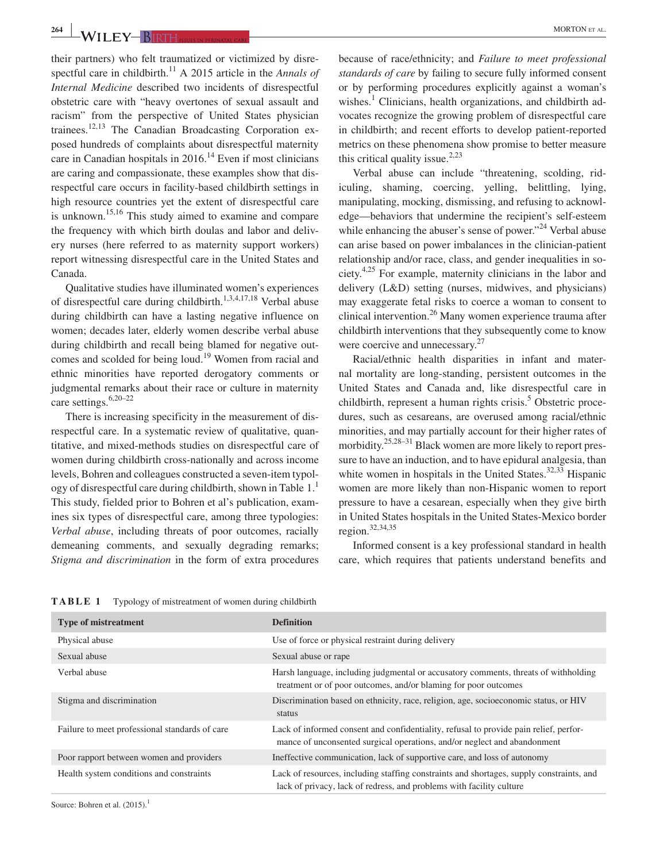**264 WILEY-RIRTH EXPLORED CONFIDENCE** 

their partners) who felt traumatized or victimized by disrespectful care in childbirth.<sup>11</sup> A 2015 article in the *Annals of Internal Medicine* described two incidents of disrespectful obstetric care with "heavy overtones of sexual assault and racism" from the perspective of United States physician trainees.<sup>12,13</sup> The Canadian Broadcasting Corporation exposed hundreds of complaints about disrespectful maternity care in Canadian hospitals in  $2016<sup>14</sup>$  Even if most clinicians are caring and compassionate, these examples show that disrespectful care occurs in facility-based childbirth settings in high resource countries yet the extent of disrespectful care is unknown.15,16 This study aimed to examine and compare the frequency with which birth doulas and labor and delivery nurses (here referred to as maternity support workers) report witnessing disrespectful care in the United States and Canada.

Qualitative studies have illuminated women's experiences of disrespectful care during childbirth.1,3,4,17,18 Verbal abuse during childbirth can have a lasting negative influence on women; decades later, elderly women describe verbal abuse during childbirth and recall being blamed for negative outcomes and scolded for being loud.19 Women from racial and ethnic minorities have reported derogatory comments or judgmental remarks about their race or culture in maternity care settings.  $6,20-22$ 

There is increasing specificity in the measurement of disrespectful care. In a systematic review of qualitative, quantitative, and mixed-methods studies on disrespectful care of women during childbirth cross-nationally and across income levels, Bohren and colleagues constructed a seven-item typology of disrespectful care during childbirth, shown in Table  $1<sup>1</sup>$ This study, fielded prior to Bohren et al's publication, examines six types of disrespectful care, among three typologies: *Verbal abuse*, including threats of poor outcomes, racially demeaning comments, and sexually degrading remarks; *Stigma and discrimination* in the form of extra procedures

because of race/ethnicity; and *Failure to meet professional standards of care* by failing to secure fully informed consent or by performing procedures explicitly against a woman's wishes.<sup>1</sup> Clinicians, health organizations, and childbirth advocates recognize the growing problem of disrespectful care in childbirth; and recent efforts to develop patient-reported metrics on these phenomena show promise to better measure this critical quality issue.<sup>2,23</sup>

Verbal abuse can include "threatening, scolding, ridiculing, shaming, coercing, yelling, belittling, lying, manipulating, mocking, dismissing, and refusing to acknowledge—behaviors that undermine the recipient's self-esteem while enhancing the abuser's sense of power."<sup>24</sup> Verbal abuse can arise based on power imbalances in the clinician-patient relationship and/or race, class, and gender inequalities in society.4,25 For example, maternity clinicians in the labor and delivery (L&D) setting (nurses, midwives, and physicians) may exaggerate fetal risks to coerce a woman to consent to clinical intervention.<sup>26</sup> Many women experience trauma after childbirth interventions that they subsequently come to know were coercive and unnecessary.<sup>27</sup>

Racial/ethnic health disparities in infant and maternal mortality are long-standing, persistent outcomes in the United States and Canada and, like disrespectful care in childbirth, represent a human rights crisis.<sup>5</sup> Obstetric procedures, such as cesareans, are overused among racial/ethnic minorities, and may partially account for their higher rates of morbidity.<sup>25,28–31</sup> Black women are more likely to report pressure to have an induction, and to have epidural analgesia, than white women in hospitals in the United States. $32,33$  Hispanic women are more likely than non-Hispanic women to report pressure to have a cesarean, especially when they give birth in United States hospitals in the United States-Mexico border region.32,34,35

Informed consent is a key professional standard in health care, which requires that patients understand benefits and

| TABLE 1 | Typology of mistreatment of women during childbirth |  |
|---------|-----------------------------------------------------|--|
|---------|-----------------------------------------------------|--|

| <b>Type of mistreatment</b>                    | <b>Definition</b>                                                                                                                                                 |
|------------------------------------------------|-------------------------------------------------------------------------------------------------------------------------------------------------------------------|
| Physical abuse                                 | Use of force or physical restraint during delivery                                                                                                                |
| Sexual abuse                                   | Sexual abuse or rape                                                                                                                                              |
| Verbal abuse                                   | Harsh language, including judgmental or accusatory comments, threats of withholding<br>treatment or of poor outcomes, and/or blaming for poor outcomes            |
| Stigma and discrimination                      | Discrimination based on ethnicity, race, religion, age, socioeconomic status, or HIV<br>status                                                                    |
| Failure to meet professional standards of care | Lack of informed consent and confidentiality, refusal to provide pain relief, perfor-<br>mance of unconsented surgical operations, and/or neglect and abandonment |
| Poor rapport between women and providers       | Ineffective communication, lack of supportive care, and loss of autonomy                                                                                          |
| Health system conditions and constraints       | Lack of resources, including staffing constraints and shortages, supply constraints, and<br>lack of privacy, lack of redress, and problems with facility culture  |

Source: Bohren et al.  $(2015).$ <sup>1</sup>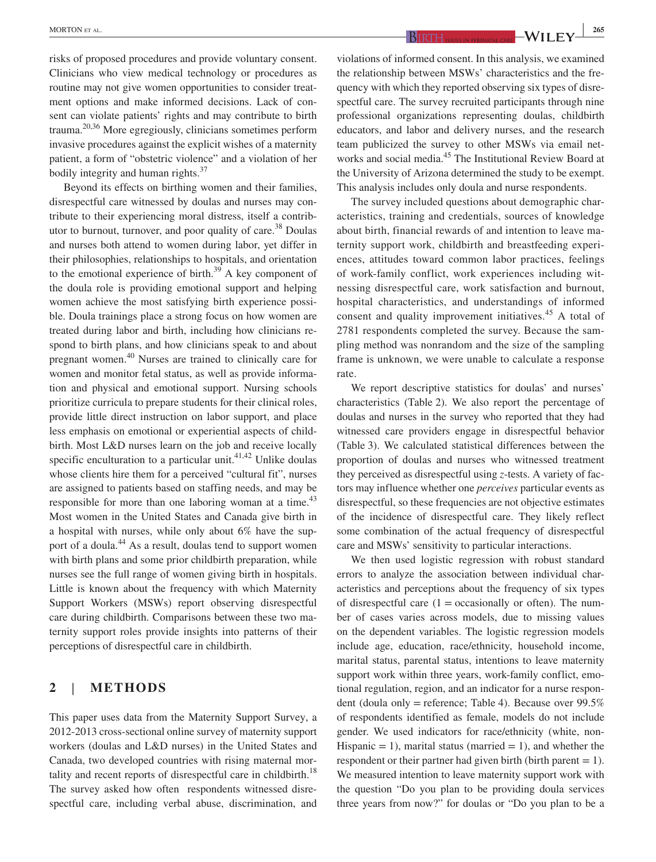risks of proposed procedures and provide voluntary consent. Clinicians who view medical technology or procedures as routine may not give women opportunities to consider treatment options and make informed decisions. Lack of consent can violate patients' rights and may contribute to birth trauma.20,36 More egregiously, clinicians sometimes perform invasive procedures against the explicit wishes of a maternity patient, a form of "obstetric violence" and a violation of her bodily integrity and human rights.<sup>37</sup>

Beyond its effects on birthing women and their families, disrespectful care witnessed by doulas and nurses may contribute to their experiencing moral distress, itself a contributor to burnout, turnover, and poor quality of care.<sup>38</sup> Doulas and nurses both attend to women during labor, yet differ in their philosophies, relationships to hospitals, and orientation to the emotional experience of birth.<sup>39</sup> A key component of the doula role is providing emotional support and helping women achieve the most satisfying birth experience possible. Doula trainings place a strong focus on how women are treated during labor and birth, including how clinicians respond to birth plans, and how clinicians speak to and about pregnant women.40 Nurses are trained to clinically care for women and monitor fetal status, as well as provide information and physical and emotional support. Nursing schools prioritize curricula to prepare students for their clinical roles, provide little direct instruction on labor support, and place less emphasis on emotional or experiential aspects of childbirth. Most L&D nurses learn on the job and receive locally specific enculturation to a particular unit.<sup>41,42</sup> Unlike doulas whose clients hire them for a perceived "cultural fit", nurses are assigned to patients based on staffing needs, and may be responsible for more than one laboring woman at a time. $43$ Most women in the United States and Canada give birth in a hospital with nurses, while only about 6% have the support of a doula.<sup>44</sup> As a result, doulas tend to support women with birth plans and some prior childbirth preparation, while nurses see the full range of women giving birth in hospitals. Little is known about the frequency with which Maternity Support Workers (MSWs) report observing disrespectful care during childbirth. Comparisons between these two maternity support roles provide insights into patterns of their perceptions of disrespectful care in childbirth.

# **2** | **METHODS**

This paper uses data from the Maternity Support Survey, a 2012-2013 cross-sectional online survey of maternity support workers (doulas and L&D nurses) in the United States and Canada, two developed countries with rising maternal mortality and recent reports of disrespectful care in childbirth.<sup>18</sup> The survey asked how often respondents witnessed disrespectful care, including verbal abuse, discrimination, and

violations of informed consent. In this analysis, we examined the relationship between MSWs' characteristics and the frequency with which they reported observing six types of disrespectful care. The survey recruited participants through nine professional organizations representing doulas, childbirth educators, and labor and delivery nurses, and the research team publicized the survey to other MSWs via email networks and social media.<sup>45</sup> The Institutional Review Board at the University of Arizona determined the study to be exempt. This analysis includes only doula and nurse respondents.

The survey included questions about demographic characteristics, training and credentials, sources of knowledge about birth, financial rewards of and intention to leave maternity support work, childbirth and breastfeeding experiences, attitudes toward common labor practices, feelings of work-family conflict, work experiences including witnessing disrespectful care, work satisfaction and burnout, hospital characteristics, and understandings of informed consent and quality improvement initiatives.45 A total of 2781 respondents completed the survey. Because the sampling method was nonrandom and the size of the sampling frame is unknown, we were unable to calculate a response rate.

We report descriptive statistics for doulas' and nurses' characteristics (Table 2). We also report the percentage of doulas and nurses in the survey who reported that they had witnessed care providers engage in disrespectful behavior (Table 3). We calculated statistical differences between the proportion of doulas and nurses who witnessed treatment they perceived as disrespectful using *z*-tests. A variety of factors may influence whether one *perceives* particular events as disrespectful, so these frequencies are not objective estimates of the incidence of disrespectful care. They likely reflect some combination of the actual frequency of disrespectful care and MSWs' sensitivity to particular interactions.

We then used logistic regression with robust standard errors to analyze the association between individual characteristics and perceptions about the frequency of six types of disrespectful care  $(1 = \alpha)$  or often). The number of cases varies across models, due to missing values on the dependent variables. The logistic regression models include age, education, race/ethnicity, household income, marital status, parental status, intentions to leave maternity support work within three years, work-family conflict, emotional regulation, region, and an indicator for a nurse respondent (doula only = reference; Table 4). Because over  $99.5\%$ of respondents identified as female, models do not include gender. We used indicators for race/ethnicity (white, non-Hispanic = 1), marital status (married = 1), and whether the respondent or their partner had given birth (birth parent  $= 1$ ). We measured intention to leave maternity support work with the question "Do you plan to be providing doula services three years from now?" for doulas or "Do you plan to be a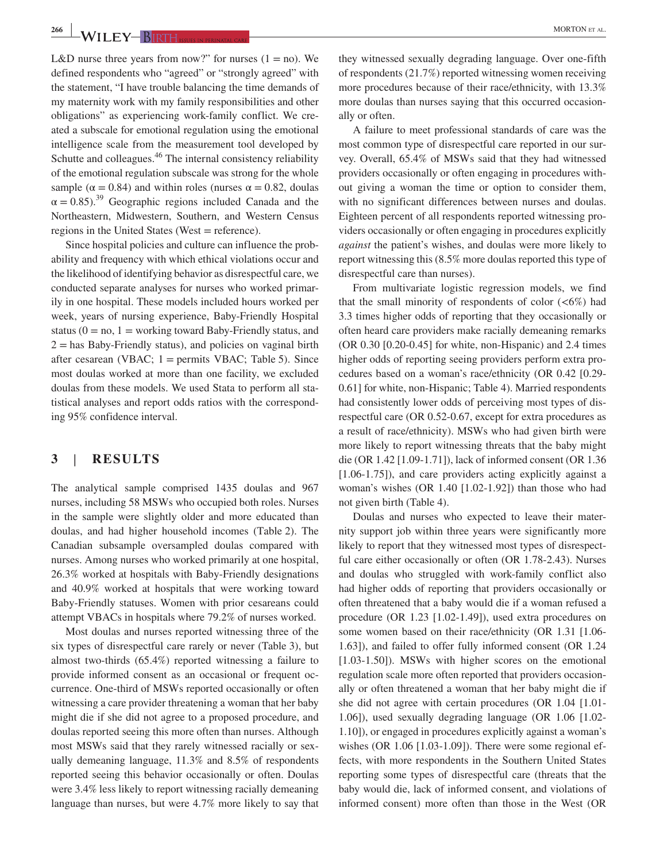**266 WII FY-RIRTH** *MORTON ET AL.* 

L&D nurse three years from now?" for nurses  $(1 = no)$ . We defined respondents who "agreed" or "strongly agreed" with the statement, "I have trouble balancing the time demands of my maternity work with my family responsibilities and other obligations" as experiencing work-family conflict. We created a subscale for emotional regulation using the emotional intelligence scale from the measurement tool developed by Schutte and colleagues.<sup>46</sup> The internal consistency reliability of the emotional regulation subscale was strong for the whole sample ( $\alpha = 0.84$ ) and within roles (nurses  $\alpha = 0.82$ , doulas  $\alpha = 0.85$ .<sup>39</sup> Geographic regions included Canada and the Northeastern, Midwestern, Southern, and Western Census regions in the United States (West = reference).

Since hospital policies and culture can influence the probability and frequency with which ethical violations occur and the likelihood of identifying behavior as disrespectful care, we conducted separate analyses for nurses who worked primarily in one hospital. These models included hours worked per week, years of nursing experience, Baby-Friendly Hospital status ( $0 = no$ ,  $1 =$  working toward Baby-Friendly status, and  $2 =$  has Baby-Friendly status), and policies on vaginal birth after cesarean (VBAC;  $1 =$  permits VBAC; Table 5). Since most doulas worked at more than one facility, we excluded doulas from these models. We used Stata to perform all statistical analyses and report odds ratios with the corresponding 95% confidence interval.

# **3** | **RESULTS**

The analytical sample comprised 1435 doulas and 967 nurses, including 58 MSWs who occupied both roles. Nurses in the sample were slightly older and more educated than doulas, and had higher household incomes (Table 2). The Canadian subsample oversampled doulas compared with nurses. Among nurses who worked primarily at one hospital, 26.3% worked at hospitals with Baby-Friendly designations and 40.9% worked at hospitals that were working toward Baby-Friendly statuses. Women with prior cesareans could attempt VBACs in hospitals where 79.2% of nurses worked.

Most doulas and nurses reported witnessing three of the six types of disrespectful care rarely or never (Table 3), but almost two-thirds (65.4%) reported witnessing a failure to provide informed consent as an occasional or frequent occurrence. One-third of MSWs reported occasionally or often witnessing a care provider threatening a woman that her baby might die if she did not agree to a proposed procedure, and doulas reported seeing this more often than nurses. Although most MSWs said that they rarely witnessed racially or sexually demeaning language, 11.3% and 8.5% of respondents reported seeing this behavior occasionally or often. Doulas were 3.4% less likely to report witnessing racially demeaning language than nurses, but were 4.7% more likely to say that

they witnessed sexually degrading language. Over one-fifth of respondents (21.7%) reported witnessing women receiving more procedures because of their race/ethnicity, with 13.3% more doulas than nurses saying that this occurred occasionally or often.

A failure to meet professional standards of care was the most common type of disrespectful care reported in our survey. Overall, 65.4% of MSWs said that they had witnessed providers occasionally or often engaging in procedures without giving a woman the time or option to consider them, with no significant differences between nurses and doulas. Eighteen percent of all respondents reported witnessing providers occasionally or often engaging in procedures explicitly *against* the patient's wishes, and doulas were more likely to report witnessing this (8.5% more doulas reported this type of disrespectful care than nurses).

From multivariate logistic regression models, we find that the small minority of respondents of color  $(<6\%)$  had 3.3 times higher odds of reporting that they occasionally or often heard care providers make racially demeaning remarks (OR 0.30 [0.20-0.45] for white, non-Hispanic) and 2.4 times higher odds of reporting seeing providers perform extra procedures based on a woman's race/ethnicity (OR 0.42 [0.29- 0.61] for white, non-Hispanic; Table 4). Married respondents had consistently lower odds of perceiving most types of disrespectful care (OR 0.52-0.67, except for extra procedures as a result of race/ethnicity). MSWs who had given birth were more likely to report witnessing threats that the baby might die (OR 1.42 [1.09-1.71]), lack of informed consent (OR 1.36 [1.06-1.75]), and care providers acting explicitly against a woman's wishes (OR 1.40 [1.02-1.92]) than those who had not given birth (Table 4).

Doulas and nurses who expected to leave their maternity support job within three years were significantly more likely to report that they witnessed most types of disrespectful care either occasionally or often (OR 1.78-2.43). Nurses and doulas who struggled with work-family conflict also had higher odds of reporting that providers occasionally or often threatened that a baby would die if a woman refused a procedure (OR 1.23 [1.02-1.49]), used extra procedures on some women based on their race/ethnicity (OR 1.31 [1.06-1.63]), and failed to offer fully informed consent (OR 1.24 [1.03-1.50]). MSWs with higher scores on the emotional regulation scale more often reported that providers occasionally or often threatened a woman that her baby might die if she did not agree with certain procedures (OR 1.04 [1.01- 1.06]), used sexually degrading language (OR 1.06 [1.02- 1.10]), or engaged in procedures explicitly against a woman's wishes (OR 1.06 [1.03-1.09]). There were some regional effects, with more respondents in the Southern United States reporting some types of disrespectful care (threats that the baby would die, lack of informed consent, and violations of informed consent) more often than those in the West (OR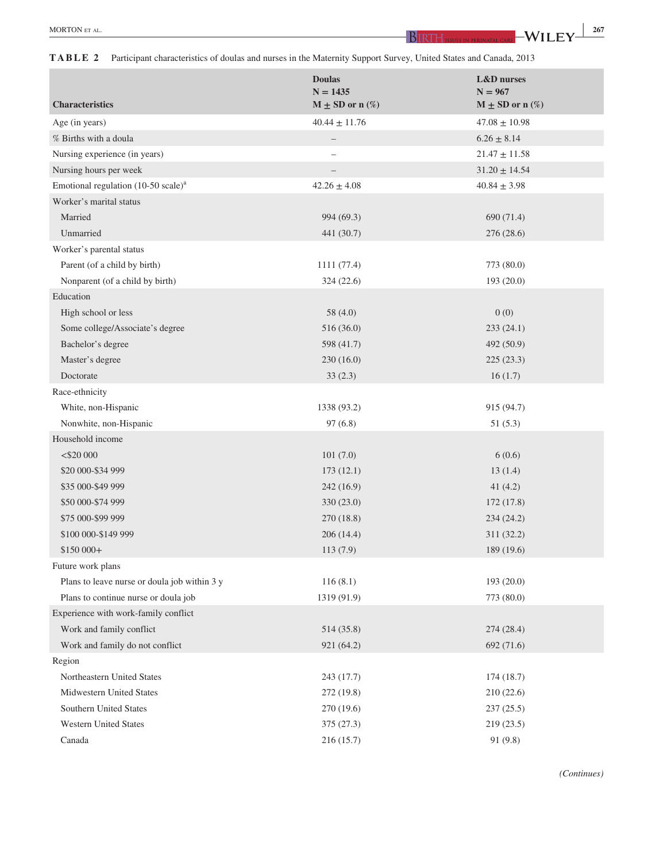**TABLE 2** Participant characteristics of doulas and nurses in the Maternity Support Survey, United States and Canada, 2013

| <b>Characteristics</b>                                                   | <b>Doulas</b><br>$N = 1435$<br>$M \pm SD$ or n $(\%)$ | <b>L&amp;D</b> nurses<br>$N = 967$<br>$M \pm SD$ or n $(\%)$ |
|--------------------------------------------------------------------------|-------------------------------------------------------|--------------------------------------------------------------|
| Age (in years)                                                           | $40.44 \pm 11.76$                                     | $47.08 \pm 10.98$                                            |
| % Births with a doula                                                    | $\qquad \qquad -$                                     | $6.26 \pm 8.14$                                              |
|                                                                          |                                                       | $21.47 \pm 11.58$                                            |
| Nursing experience (in years)                                            | -                                                     |                                                              |
| Nursing hours per week<br>Emotional regulation $(10-50 \text{ scale})^a$ | $42.26 \pm 4.08$                                      | $31.20 \pm 14.54$<br>$40.84 \pm 3.98$                        |
| Worker's marital status                                                  |                                                       |                                                              |
| Married                                                                  | 994 (69.3)                                            | 690 (71.4)                                                   |
| Unmarried                                                                | 441 (30.7)                                            | 276 (28.6)                                                   |
| Worker's parental status                                                 |                                                       |                                                              |
| Parent (of a child by birth)                                             | 1111 (77.4)                                           | 773 (80.0)                                                   |
| Nonparent (of a child by birth)                                          | 324(22.6)                                             | 193(20.0)                                                    |
| Education                                                                |                                                       |                                                              |
| High school or less                                                      | 58 (4.0)                                              | 0(0)                                                         |
| Some college/Associate's degree                                          | 516 (36.0)                                            | 233 (24.1)                                                   |
| Bachelor's degree                                                        | 598 (41.7)                                            | 492 (50.9)                                                   |
| Master's degree                                                          | 230(16.0)                                             | 225 (23.3)                                                   |
| Doctorate                                                                | 33(2.3)                                               | 16(1.7)                                                      |
| Race-ethnicity                                                           |                                                       |                                                              |
| White, non-Hispanic                                                      | 1338 (93.2)                                           | 915 (94.7)                                                   |
| Nonwhite, non-Hispanic                                                   | 97(6.8)                                               | 51(5.3)                                                      |
| Household income                                                         |                                                       |                                                              |
| $<$ \$20 000                                                             | 101(7.0)                                              | 6(0.6)                                                       |
| \$20 000-\$34 999                                                        | 173(12.1)                                             | 13(1.4)                                                      |
| \$35 000-\$49 999                                                        | 242(16.9)                                             | 41(4.2)                                                      |
| \$50 000-\$74 999                                                        | 330(23.0)                                             | 172(17.8)                                                    |
| \$75 000-\$99 999                                                        | 270(18.8)                                             | 234(24.2)                                                    |
| \$100 000-\$149 999                                                      | 206(14.4)                                             | 311 (32.2)                                                   |
| \$150 000+                                                               | 113 (7.9)                                             | 189 (19.6)                                                   |
| Future work plans                                                        |                                                       |                                                              |
| Plans to leave nurse or doula job within 3 y                             | 116(8.1)                                              | 193 (20.0)                                                   |
| Plans to continue nurse or doula job                                     | 1319 (91.9)                                           | 773 (80.0)                                                   |
| Experience with work-family conflict                                     |                                                       |                                                              |
| Work and family conflict                                                 | 514 (35.8)                                            | 274 (28.4)                                                   |
| Work and family do not conflict                                          | 921 (64.2)                                            | 692 (71.6)                                                   |
| Region                                                                   |                                                       |                                                              |
| Northeastern United States                                               | 243 (17.7)                                            | 174(18.7)                                                    |
| <b>Midwestern United States</b>                                          | 272 (19.8)                                            | 210(22.6)                                                    |
| Southern United States                                                   | 270 (19.6)                                            | 237(25.5)                                                    |
| <b>Western United States</b>                                             | 375 (27.3)                                            | 219(23.5)                                                    |
| Canada                                                                   | 216(15.7)                                             | 91 (9.8)                                                     |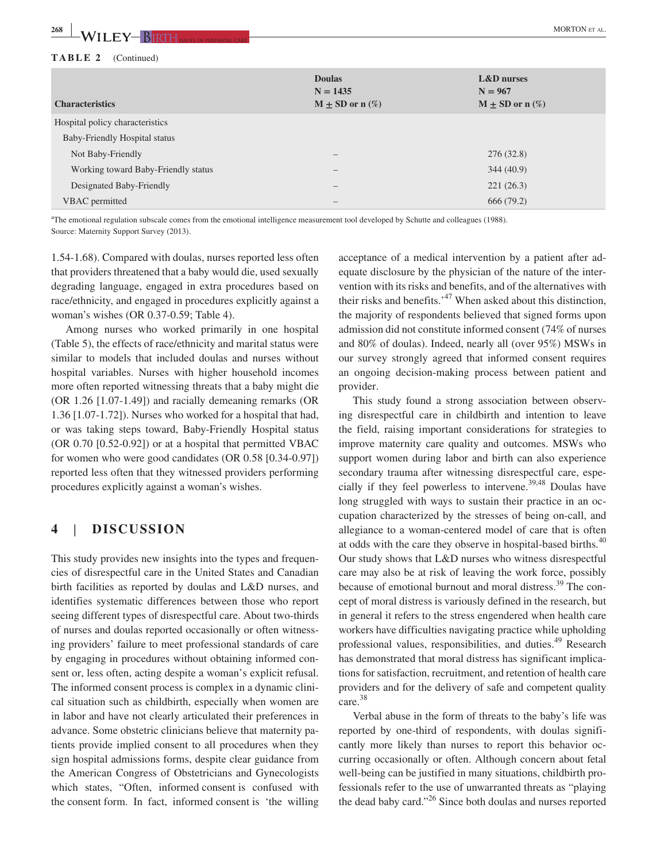### **TABLE 2** (Continued)

| <b>Characteristics</b>              | <b>Doulas</b><br>$N = 1435$<br>$M \pm SD$ or n $(\%)$ | $L&D$ nurses<br>$N = 967$<br>$M \pm SD$ or n $(\%)$ |
|-------------------------------------|-------------------------------------------------------|-----------------------------------------------------|
| Hospital policy characteristics     |                                                       |                                                     |
| Baby-Friendly Hospital status       |                                                       |                                                     |
| Not Baby-Friendly                   | $\hspace{0.1mm}-\hspace{0.1mm}$                       | 276 (32.8)                                          |
| Working toward Baby-Friendly status | $\hspace{0.1mm}-\hspace{0.1mm}$                       | 344(40.9)                                           |
| Designated Baby-Friendly            | $\hspace{0.1mm}-\hspace{0.1mm}$                       | 221(26.3)                                           |
| VBAC permitted                      |                                                       | 666 (79.2)                                          |

a The emotional regulation subscale comes from the emotional intelligence measurement tool developed by Schutte and colleagues (1988). Source: Maternity Support Survey (2013).

1.54-1.68). Compared with doulas, nurses reported less often that providers threatened that a baby would die, used sexually degrading language, engaged in extra procedures based on race/ethnicity, and engaged in procedures explicitly against a woman's wishes (OR 0.37-0.59; Table 4).

Among nurses who worked primarily in one hospital (Table 5), the effects of race/ethnicity and marital status were similar to models that included doulas and nurses without hospital variables. Nurses with higher household incomes more often reported witnessing threats that a baby might die (OR 1.26 [1.07-1.49]) and racially demeaning remarks (OR 1.36 [1.07-1.72]). Nurses who worked for a hospital that had, or was taking steps toward, Baby-Friendly Hospital status (OR 0.70 [0.52-0.92]) or at a hospital that permitted VBAC for women who were good candidates (OR 0.58 [0.34-0.97]) reported less often that they witnessed providers performing procedures explicitly against a woman's wishes.

# **4** | **DISCUSSION**

This study provides new insights into the types and frequencies of disrespectful care in the United States and Canadian birth facilities as reported by doulas and L&D nurses, and identifies systematic differences between those who report seeing different types of disrespectful care. About two-thirds of nurses and doulas reported occasionally or often witnessing providers' failure to meet professional standards of care by engaging in procedures without obtaining informed consent or, less often, acting despite a woman's explicit refusal. The informed consent process is complex in a dynamic clinical situation such as childbirth, especially when women are in labor and have not clearly articulated their preferences in advance. Some obstetric clinicians believe that maternity patients provide implied consent to all procedures when they sign hospital admissions forms, despite clear guidance from the American Congress of Obstetricians and Gynecologists which states, "Often, informed consent is confused with the consent form. In fact, informed consent is 'the willing acceptance of a medical intervention by a patient after adequate disclosure by the physician of the nature of the intervention with its risks and benefits, and of the alternatives with their risks and benefits. $147$  When asked about this distinction. the majority of respondents believed that signed forms upon admission did not constitute informed consent (74% of nurses and 80% of doulas). Indeed, nearly all (over 95%) MSWs in our survey strongly agreed that informed consent requires an ongoing decision-making process between patient and provider.

This study found a strong association between observing disrespectful care in childbirth and intention to leave the field, raising important considerations for strategies to improve maternity care quality and outcomes. MSWs who support women during labor and birth can also experience secondary trauma after witnessing disrespectful care, especially if they feel powerless to intervene.<sup>39,48</sup> Doulas have long struggled with ways to sustain their practice in an occupation characterized by the stresses of being on-call, and allegiance to a woman-centered model of care that is often at odds with the care they observe in hospital-based births.<sup>40</sup> Our study shows that L&D nurses who witness disrespectful care may also be at risk of leaving the work force, possibly because of emotional burnout and moral distress.<sup>39</sup> The concept of moral distress is variously defined in the research, but in general it refers to the stress engendered when health care workers have difficulties navigating practice while upholding professional values, responsibilities, and duties.49 Research has demonstrated that moral distress has significant implications for satisfaction, recruitment, and retention of health care providers and for the delivery of safe and competent quality care.38

Verbal abuse in the form of threats to the baby's life was reported by one-third of respondents, with doulas significantly more likely than nurses to report this behavior occurring occasionally or often. Although concern about fetal well-being can be justified in many situations, childbirth professionals refer to the use of unwarranted threats as "playing the dead baby card."<sup>26</sup> Since both doulas and nurses reported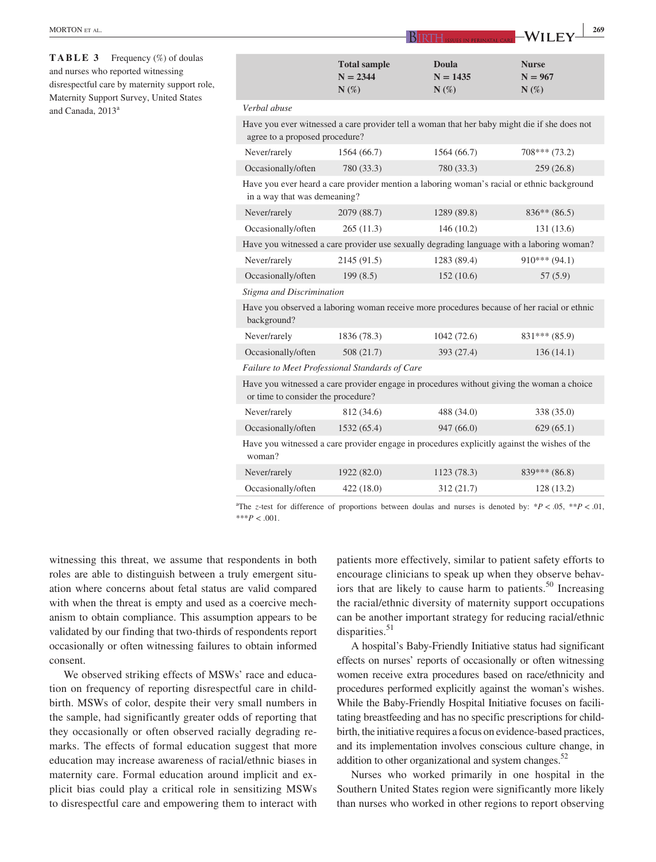| MORTON ET AL.                                                                                                                                                           |                                    |                                                |                                                                                              | 269<br><b>WILEY</b>                  |
|-------------------------------------------------------------------------------------------------------------------------------------------------------------------------|------------------------------------|------------------------------------------------|----------------------------------------------------------------------------------------------|--------------------------------------|
| TABLE 3<br>Frequency $(\%)$ of doulas<br>and nurses who reported witnessing<br>disrespectful care by maternity support role,<br>Maternity Support Survey, United States |                                    | <b>Total sample</b><br>$N = 2344$<br>$N(\%)$   | Doula<br>$N = 1435$<br>$N(\%)$                                                               | <b>Nurse</b><br>$N = 967$<br>$N(\%)$ |
| and Canada, 2013 <sup>a</sup>                                                                                                                                           | Verbal abuse                       |                                                |                                                                                              |                                      |
|                                                                                                                                                                         | agree to a proposed procedure?     |                                                | Have you ever witnessed a care provider tell a woman that her baby might die if she does not |                                      |
|                                                                                                                                                                         | Never/rarely                       | 1564 (66.7)                                    | 1564 (66.7)                                                                                  | $708***$ (73.2)                      |
|                                                                                                                                                                         | Occasionally/often                 | 780 (33.3)                                     | 780 (33.3)                                                                                   | 259(26.8)                            |
|                                                                                                                                                                         | in a way that was demeaning?       |                                                | Have you ever heard a care provider mention a laboring woman's racial or ethnic background   |                                      |
|                                                                                                                                                                         | Never/rarely                       | 2079 (88.7)                                    | 1289 (89.8)                                                                                  | $836**$ (86.5)                       |
|                                                                                                                                                                         | Occasionally/often                 | 265(11.3)                                      | 146(10.2)                                                                                    | 131(13.6)                            |
|                                                                                                                                                                         |                                    |                                                | Have you witnessed a care provider use sexually degrading language with a laboring woman?    |                                      |
|                                                                                                                                                                         | Never/rarely                       | 2145 (91.5)                                    | 1283 (89.4)                                                                                  | $910***(94.1)$                       |
|                                                                                                                                                                         | Occasionally/often                 | 199(8.5)                                       | 152(10.6)                                                                                    | 57(5.9)                              |
|                                                                                                                                                                         | Stigma and Discrimination          |                                                |                                                                                              |                                      |
|                                                                                                                                                                         | background?                        |                                                | Have you observed a laboring woman receive more procedures because of her racial or ethnic   |                                      |
|                                                                                                                                                                         | Never/rarely                       | 1836 (78.3)                                    | 1042 (72.6)                                                                                  | $831***$ (85.9)                      |
|                                                                                                                                                                         | Occasionally/often                 | 508 (21.7)                                     | 393 (27.4)                                                                                   | 136(14.1)                            |
|                                                                                                                                                                         |                                    | Failure to Meet Professional Standards of Care |                                                                                              |                                      |
|                                                                                                                                                                         | or time to consider the procedure? |                                                | Have you witnessed a care provider engage in procedures without giving the woman a choice    |                                      |
|                                                                                                                                                                         | Never/rarely                       | 812 (34.6)                                     | 488 (34.0)                                                                                   | 338 (35.0)                           |
|                                                                                                                                                                         | Occasionally/often                 | 1532 (65.4)                                    | 947 (66.0)                                                                                   | 629(65.1)                            |
|                                                                                                                                                                         | woman?                             |                                                | Have you witnessed a care provider engage in procedures explicitly against the wishes of the |                                      |
|                                                                                                                                                                         | Never/rarely                       | 1922 (82.0)                                    | 1123 (78.3)                                                                                  | $839***$ (86.8)                      |
|                                                                                                                                                                         | Occasionally/often                 | 422(18.0)                                      | 312 (21.7)                                                                                   | 128(13.2)                            |

a The *z*-test for difference of proportions between doulas and nurses is denoted by: \**P* < .05, \*\**P* < .01,  $***P<.001$ .

witnessing this threat, we assume that respondents in both roles are able to distinguish between a truly emergent situation where concerns about fetal status are valid compared with when the threat is empty and used as a coercive mechanism to obtain compliance. This assumption appears to be validated by our finding that two-thirds of respondents report occasionally or often witnessing failures to obtain informed consent.

We observed striking effects of MSWs' race and education on frequency of reporting disrespectful care in childbirth. MSWs of color, despite their very small numbers in the sample, had significantly greater odds of reporting that they occasionally or often observed racially degrading remarks. The effects of formal education suggest that more education may increase awareness of racial/ethnic biases in maternity care. Formal education around implicit and explicit bias could play a critical role in sensitizing MSWs to disrespectful care and empowering them to interact with

patients more effectively, similar to patient safety efforts to encourage clinicians to speak up when they observe behaviors that are likely to cause harm to patients.<sup>50</sup> Increasing the racial/ethnic diversity of maternity support occupations can be another important strategy for reducing racial/ethnic disparities.<sup>51</sup>

A hospital's Baby-Friendly Initiative status had significant effects on nurses' reports of occasionally or often witnessing women receive extra procedures based on race/ethnicity and procedures performed explicitly against the woman's wishes. While the Baby-Friendly Hospital Initiative focuses on facilitating breastfeeding and has no specific prescriptions for childbirth, the initiative requires a focus on evidence-based practices, and its implementation involves conscious culture change, in addition to other organizational and system changes.<sup>52</sup>

Nurses who worked primarily in one hospital in the Southern United States region were significantly more likely than nurses who worked in other regions to report observing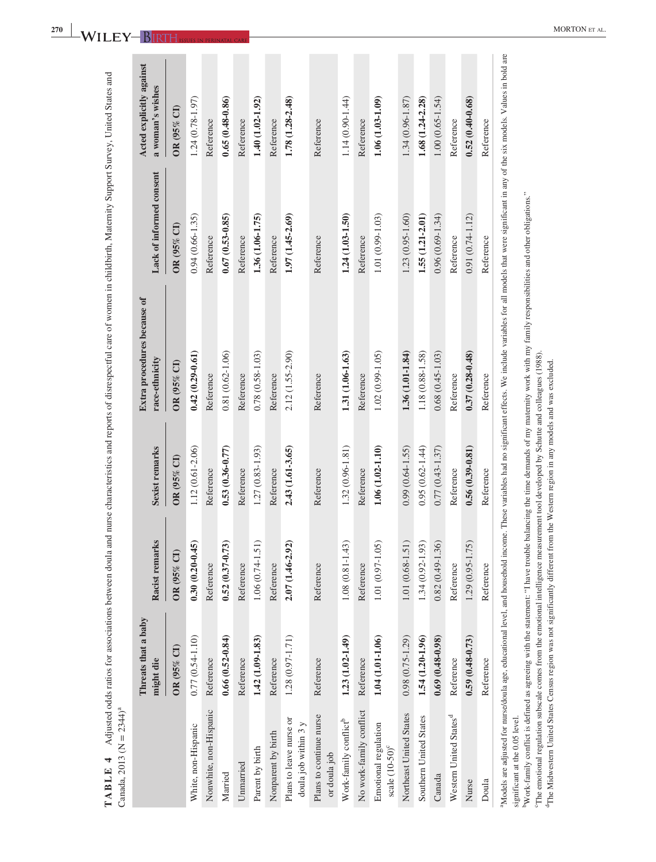|                                                    | Threats that a baby<br>might die | Racist remarks      | Sexist remarks      | Extra procedures because of<br>race-ethnicity | Lack of informed consent | Acted explicitly against<br>a woman's wishes |
|----------------------------------------------------|----------------------------------|---------------------|---------------------|-----------------------------------------------|--------------------------|----------------------------------------------|
|                                                    | OR (95% CI)                      | OR (95% CI)         | OR (95% CI)         | OR (95% CI)                                   | OR (95% CI)              | OR (95% CI)                                  |
| White, non-Hispanic                                | $0.77(0.54 - 1.10)$              | $0.30(0.20-0.45)$   | 1.12 (0.61-2.06)    | $0.42(0.29-0.61)$                             | $0.94(0.66 - 1.35)$      | $1.24(0.78-1.97)$                            |
| Nonwhite, non-Hispanic                             | Reference                        | Reference           | Reference           | Reference                                     | Reference                | Reference                                    |
| Married                                            | $0.66(0.52 - 0.84)$              | $0.52(0.37 - 0.73)$ | $0.53(0.36 - 0.77)$ | $0.81(0.62 - 1.06)$                           | $0.67(0.53 - 0.85)$      | $0.65(0.48 - 0.86)$                          |
| Unmarried                                          | Reference                        | Reference           | Reference           | Reference                                     | Reference                | Reference                                    |
| Parent by birth                                    | 1.42 (1.09-1.83)                 | 1.06 (0.74-1.51)    | 1.27 (0.83-1.93)    | $0.78(0.58 - 1.03)$                           | 1.36 (1.06-1.75)         | $1.40(1.02 - 1.92)$                          |
| Nonparent by birth                                 | Reference                        | Reference           | Reference           | Reference                                     | Reference                | Reference                                    |
| Plans to leave nurse or<br>doula job within 3 y    | $1.28(0.97 - 1.71)$              | 2.07 (1.46-2.92)    | 2.43 (1.61-3.65)    | $2.12(1.55 - 2.90)$                           | $1.97(1.45-2.69)$        | 1.78 (1.28-2.48)                             |
| Plans to continue nurse<br>or doula job            | Reference                        | Reference           | Reference           | Reference                                     | Reference                | Reference                                    |
| Work-family conflict <sup>b</sup>                  | $1.23(1.02 - 1.49)$              | $1.08(0.81 - 1.43)$ | 1.32 (0.96-1.81)    | 1.31 (1.06-1.63)                              | 1.24 (1.03-1.50)         | $1.14(0.90-1.44)$                            |
| No work-family conflict                            | Reference                        | Reference           | Reference           | Reference                                     | Reference                | Reference                                    |
| Emotional regulation<br>scale (10-50) <sup>c</sup> | 1.04 (1.01-1.06)                 | 1.01 (0.97-1.05)    | $1.06(1.02 - 1.10)$ | $1.02(0.99 - 1.05)$                           | 1.01 (0.99-1.03)         | $1.06(1.03 - 1.09)$                          |
| Northeast United States                            | $0.98(0.75 - 1.29)$              | 1.01 (0.68-1.51)    | $0.99(0.64 - 1.55)$ | $1.36(1.01-1.84)$                             | $1.23(0.95 - 1.60)$      | 1.34 (0.96-1.87)                             |
| Southern United States                             | 1.54 (1.20-1.96)                 | 1.34 (0.92-1.93)    | $0.95(0.62 - 1.44)$ | 1.18 (0.88-1.58)                              | $1.55(1.21 - 2.01)$      | 1.68 (1.24-2.28)                             |
| Canada                                             | $0.69(0.48-0.98)$                | $0.82(0.49 - 1.36)$ | $0.77(0.43 - 1.37)$ | $0.68(0.45-1.03)$                             | $0.96(0.69 - 1.34)$      | $1.00(0.65 - 1.54)$                          |
| Western United States <sup>d</sup>                 | Reference                        | Reference           | Reference           | Reference                                     | Reference                | Reference                                    |
| Nurse                                              | $0.59(0.48-0.73)$                | 1.29 (0.95-1.75)    | $0.56(0.39-0.81)$   | $0.37(0.28-0.48)$                             | $0.91(0.74-1.12)$        | $0.52(0.40 - 0.68)$                          |
| Doula                                              | Reference                        | Reference           | Reference           | Reference                                     | Reference                | Reference                                    |

significant at the 0.05 level. significant at the 0.05 level.

"Work-family conflict is defined as agreeing with the statement: "I have trouble balancing the time demands of my maternity work with my family responsibilities and other obligations." bWork-family conflict is defined as agreeing with the statement: "I have trouble balancing the time demands of my maternity work with my family responsibilities and other obligations."

<sup>o</sup>The emotional regulation subscale comes from the emotional intelligence measurement tool developed by Schutte and colleagues (1988).<br><sup>4</sup>The Midwestern United States Census region was not significantly different from the cThe emotional regulation subscale comes from the emotional intelligence measurement tool developed by Schutte and colleagues (1988).

dThe Midwestern United States Census region was not significantly different from the Western region in any models and was excluded.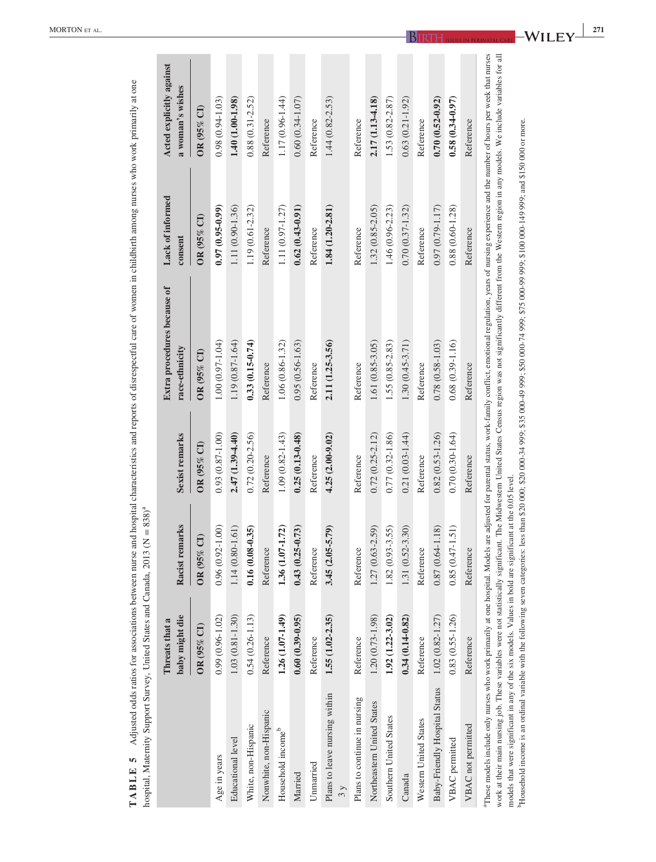| ĉ<br>$\frac{1}{2}$<br>ţ<br>i<br>an an ann an ann<br>$\ddot{\phantom{a}}$<br>$\ddot{\phantom{0}}$<br>l<br>.<br>2<br>ç<br>S<br>$\overline{\phantom{a}}$<br>$\overline{\phantom{a}}$<br>l<br>ļ<br>$-20.124$<br>$\frac{1}{3}$<br>$\sum_{i=1}^{n}$<br>$\sim$ $\sim$ $\sim$ $\sim$ $+$ $+$ $\sim$ $+$<br>$-2 + 1$<br>Ì<br>١<br>ı<br>ä<br>atomint no and re-<br>$\lambda$ concent<br>Í<br>i<br>ء<br>ح<br>د،<br>م<br>ine<br>i<br>l<br>i<br>I<br>5 | 3<br>II<br>ı<br>$\mathfrak{c}$<br>١<br>l<br>ś<br>I<br>j<br>i<br>l<br>I<br>ł |
|-------------------------------------------------------------------------------------------------------------------------------------------------------------------------------------------------------------------------------------------------------------------------------------------------------------------------------------------------------------------------------------------------------------------------------------------|-----------------------------------------------------------------------------|
| ł                                                                                                                                                                                                                                                                                                                                                                                                                                         | í                                                                           |
|                                                                                                                                                                                                                                                                                                                                                                                                                                           | i                                                                           |

|                                     | baby might die<br>Threats that a | Racist remarks            | Sexist remarks      | Extra procedures because of<br>race-ethnicity | Lack of informed<br>consent | Acted explicitly against<br>a woman's wishes |
|-------------------------------------|----------------------------------|---------------------------|---------------------|-----------------------------------------------|-----------------------------|----------------------------------------------|
|                                     | OR (95% CI)                      | C <sub>D</sub><br>OR (95% | OR (95% CI)         | OR (95% CI)                                   | OR (95% CI)                 | OR (95% CI)                                  |
| Age in years                        | $0.99(0.96 - 1.02)$              | $0.96(0.92 - 1.00)$       | $0.93(0.87 - 1.00)$ | $1.00(0.97 - 1.04)$                           | $0.97(0.95-0.99)$           | $0.98(0.94 - 1.03)$                          |
| Educational level                   | $1.03(0.81 - 1.30)$              | $1.14(0.80 - 1.61)$       | $2.47(1.39 - 4.40)$ | $1.19(0.87 - 1.64)$                           | 1.11 (0.90-1.36)            | $1.40(1.00-1.98)$                            |
| White, non-Hispanic                 | $0.54(0.26 - 1.13)$              | $0.16(0.08-0.35)$         | $0.72(0.20 - 2.56)$ | $0.33(0.15-0.74)$                             | 1.19 (0.61-2.32)            | $0.88(0.31 - 2.52)$                          |
| Nonwhite, non-Hispanic              | Reference                        | Reference                 | Reference           | Reference                                     | Reference                   | Reference                                    |
| Household income <sup>b</sup>       | $1.26(1.07 - 1.49)$              | 1.36 (1.07-1.72)          | $1.09(0.82 - 1.43)$ | $1.06(0.86 - 1.32)$                           | $1.11(0.97 - 1.27)$         | $1.17(0.96-1.44)$                            |
| Married                             | $0.60(0.39-0.95)$                | $0.43(0.25-0.73)$         | $0.25(0.13 - 0.48)$ | $0.95(0.56 - 1.63)$                           | $0.62(0.43 - 0.91)$         | $0.60(0.34 - 1.07)$                          |
| Unmarried                           | Reference                        | Reference                 | Reference           | Reference                                     | Reference                   | Reference                                    |
| Plans to leave nursing within<br>3y | $1.55(1.02 - 2.35)$              | (61.5.7)<br>3.45(2.05     | $4.25(2.00-9.02)$   | 2.11 (1.25-3.56)                              | $1.84(1.20-2.81)$           | $1.44(0.82 - 2.53)$                          |
| Plans to continue in nursing        | Reference                        | Reference                 | Reference           | Reference                                     | Reference                   | Reference                                    |
| Northeastern United States          | $1.20(0.73-1.98)$                | $1.27(0.63 - 2.59)$       | $0.72(0.25 - 2.12)$ | $1.61(0.85-3.05)$                             | $1.32(0.85 - 2.05)$         | 2.17 (1.13-4.18)                             |
| Southern United States              | $1.92(1.22 - 3.02)$              | $1.82(0.93 - 3.55)$       | $0.77(0.32 - 1.86)$ | 1.55 (0.85-2.83)                              | $1.46(0.96 - 2.23)$         | 1.53 (0.82-2.87)                             |
| Canada                              | $0.34(0.14 - 0.82)$              | 1.31 (0.52-3.30)          | $0.21(0.03-1.44)$   | $1.30(0.45-3.71)$                             | $0.70(0.37 - 1.32)$         | $0.63(0.21-1.92)$                            |
| Western United States               | Reference                        | Reference                 | Reference           | Reference                                     | Reference                   | Reference                                    |
| Baby-Friendly Hospital Status       | $1.02(0.82 - 1.27)$              | $0.87(0.64 - 1.18)$       | $0.82(0.53 - 1.26)$ | $0.78(0.58 - 1.03)$                           | $0.97(0.79 - 1.17)$         | $0.70(0.52 - 0.92)$                          |
| VBAC permitted                      | $0.83(0.55 - 1.26)$              | $0.85(0.47 - 1.51)$       | $0.70(0.30-1.64)$   | $0.68(0.39 - 1.16)$                           | $0.88(0.60 - 1.28)$         | $0.58(0.34 - 0.97)$                          |
| VBAC not permitted                  | Reference                        | Reference                 | Reference           | Reference                                     | Reference                   | Reference                                    |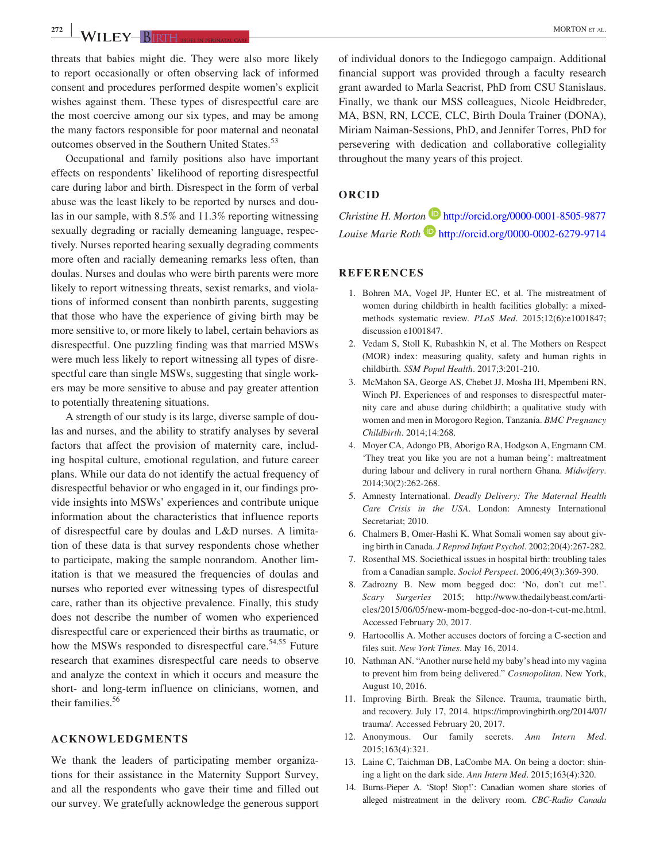**272 WII FY-RIRTH** *MORTON ET AL.* 

threats that babies might die. They were also more likely to report occasionally or often observing lack of informed consent and procedures performed despite women's explicit wishes against them. These types of disrespectful care are the most coercive among our six types, and may be among the many factors responsible for poor maternal and neonatal outcomes observed in the Southern United States.<sup>53</sup>

Occupational and family positions also have important effects on respondents' likelihood of reporting disrespectful care during labor and birth. Disrespect in the form of verbal abuse was the least likely to be reported by nurses and doulas in our sample, with 8.5% and 11.3% reporting witnessing sexually degrading or racially demeaning language, respectively. Nurses reported hearing sexually degrading comments more often and racially demeaning remarks less often, than doulas. Nurses and doulas who were birth parents were more likely to report witnessing threats, sexist remarks, and violations of informed consent than nonbirth parents, suggesting that those who have the experience of giving birth may be more sensitive to, or more likely to label, certain behaviors as disrespectful. One puzzling finding was that married MSWs were much less likely to report witnessing all types of disrespectful care than single MSWs, suggesting that single workers may be more sensitive to abuse and pay greater attention to potentially threatening situations.

A strength of our study is its large, diverse sample of doulas and nurses, and the ability to stratify analyses by several factors that affect the provision of maternity care, including hospital culture, emotional regulation, and future career plans. While our data do not identify the actual frequency of disrespectful behavior or who engaged in it, our findings provide insights into MSWs' experiences and contribute unique information about the characteristics that influence reports of disrespectful care by doulas and L&D nurses. A limitation of these data is that survey respondents chose whether to participate, making the sample nonrandom. Another limitation is that we measured the frequencies of doulas and nurses who reported ever witnessing types of disrespectful care, rather than its objective prevalence. Finally, this study does not describe the number of women who experienced disrespectful care or experienced their births as traumatic, or how the MSWs responded to disrespectful care.<sup>54,55</sup> Future research that examines disrespectful care needs to observe and analyze the context in which it occurs and measure the short- and long-term influence on clinicians, women, and their families.<sup>56</sup>

#### **ACKNOWLEDGMENTS**

We thank the leaders of participating member organizations for their assistance in the Maternity Support Survey, and all the respondents who gave their time and filled out our survey. We gratefully acknowledge the generous support of individual donors to the Indiegogo campaign. Additional financial support was provided through a faculty research grant awarded to Marla Seacrist, PhD from CSU Stanislaus. Finally, we thank our MSS colleagues, Nicole Heidbreder, MA, BSN, RN, LCCE, CLC, Birth Doula Trainer (DONA), Miriam Naiman-Sessions, PhD, and Jennifer Torres, PhD for persevering with dedication and collaborative collegiality throughout the many years of this project.

## **ORCID**

*Christine H. Morton* <http://orcid.org/0000-0001-8505-9877> *Louise Marie Rot[h](http://orcid.org/0000-0002-6279-9714)* <http://orcid.org/0000-0002-6279-9714>

#### **REFERENCES**

- 1. Bohren MA, Vogel JP, Hunter EC, et al. The mistreatment of women during childbirth in health facilities globally: a mixedmethods systematic review. *PLoS Med*. 2015;12(6):e1001847; discussion e1001847.
- 2. Vedam S, Stoll K, Rubashkin N, et al. The Mothers on Respect (MOR) index: measuring quality, safety and human rights in childbirth. *SSM Popul Health*. 2017;3:201‐210.
- 3. McMahon SA, George AS, Chebet JJ, Mosha IH, Mpembeni RN, Winch PJ. Experiences of and responses to disrespectful maternity care and abuse during childbirth; a qualitative study with women and men in Morogoro Region, Tanzania. *BMC Pregnancy Childbirth*. 2014;14:268.
- 4. Moyer CA, Adongo PB, Aborigo RA, Hodgson A, Engmann CM. 'They treat you like you are not a human being': maltreatment during labour and delivery in rural northern Ghana. *Midwifery*. 2014;30(2):262‐268.
- 5. Amnesty International. *Deadly Delivery: The Maternal Health Care Crisis in the USA*. London: Amnesty International Secretariat; 2010.
- 6. Chalmers B, Omer-Hashi K. What Somali women say about giving birth in Canada. *J Reprod Infant Psychol*. 2002;20(4):267‐282.
- 7. Rosenthal MS. Societhical issues in hospital birth: troubling tales from a Canadian sample. *Sociol Perspect*. 2006;49(3):369‐390.
- 8. Zadrozny B. New mom begged doc: 'No, don't cut me!'. *Scary Surgeries* 2015; [http://www.thedailybeast.com/arti](http://www.thedailybeast.com/articles/2015/06/05/new-mom-begged-doc-no-don-t-cut-me.html)[cles/2015/06/05/new-mom-begged-doc-no-don-t-cut-me.html](http://www.thedailybeast.com/articles/2015/06/05/new-mom-begged-doc-no-don-t-cut-me.html). Accessed February 20, 2017.
- 9. Hartocollis A. Mother accuses doctors of forcing a C-section and files suit. *New York Times*. May 16, 2014.
- 10. Nathman AN. "Another nurse held my baby's head into my vagina to prevent him from being delivered." *Cosmopolitan*. New York, August 10, 2016.
- 11. Improving Birth. Break the Silence. Trauma, traumatic birth, and recovery. July 17, 2014. [https://improvingbirth.org/2014/07/](https://improvingbirth.org/2014/07/trauma/) [trauma/](https://improvingbirth.org/2014/07/trauma/). Accessed February 20, 2017.
- 12. Anonymous. Our family secrets. *Ann Intern Med*. 2015;163(4):321.
- 13. Laine C, Taichman DB, LaCombe MA. On being a doctor: shining a light on the dark side. *Ann Intern Med*. 2015;163(4):320.
- 14. Burns-Pieper A. 'Stop! Stop!': Canadian women share stories of alleged mistreatment in the delivery room. *CBC-Radio Canada*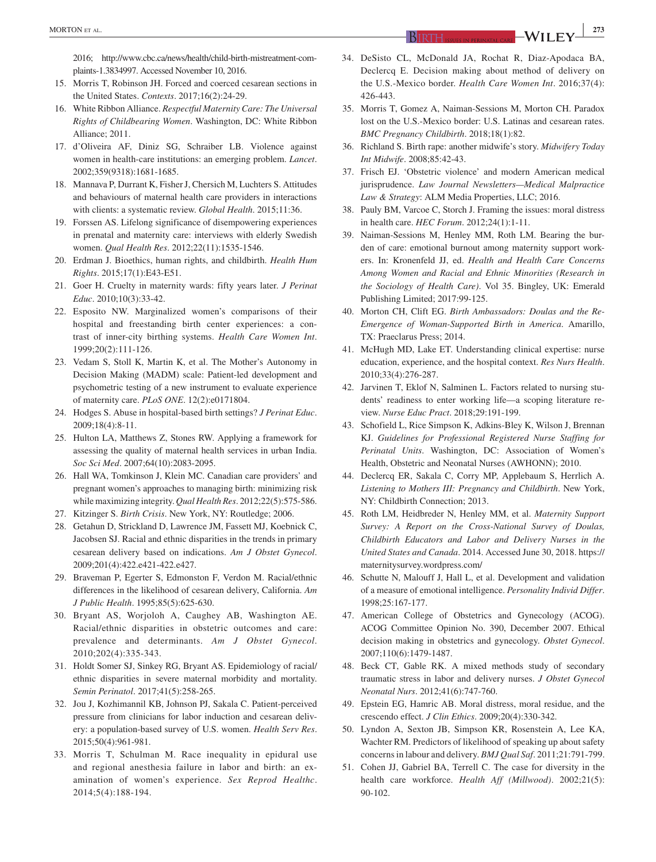2016; [http://www.cbc.ca/news/health/child-birth-mistreatment-com](http://www.cbc.ca/news/health/child-birth-mistreatment-complaints-1.3834997)[plaints-1.3834997.](http://www.cbc.ca/news/health/child-birth-mistreatment-complaints-1.3834997) Accessed November 10, 2016.

- 15. Morris T, Robinson JH. Forced and coerced cesarean sections in the United States. *Contexts*. 2017;16(2):24‐29.
- 16. White Ribbon Alliance. *Respectful Maternity Care: The Universal Rights of Childbearing Women*. Washington, DC: White Ribbon Alliance; 2011.
- 17. d'Oliveira AF, Diniz SG, Schraiber LB. Violence against women in health-care institutions: an emerging problem. *Lancet*. 2002;359(9318):1681‐1685.
- 18. Mannava P, Durrant K, Fisher J, Chersich M, Luchters S. Attitudes and behaviours of maternal health care providers in interactions with clients: a systematic review. *Global Health*. 2015;11:36.
- 19. Forssen AS. Lifelong significance of disempowering experiences in prenatal and maternity care: interviews with elderly Swedish women. *Qual Health Res*. 2012;22(11):1535‐1546.
- 20. Erdman J. Bioethics, human rights, and childbirth. *Health Hum Rights*. 2015;17(1):E43‐E51.
- 21. Goer H. Cruelty in maternity wards: fifty years later. *J Perinat Educ*. 2010;10(3):33‐42.
- 22. Esposito NW. Marginalized women's comparisons of their hospital and freestanding birth center experiences: a contrast of inner-city birthing systems. *Health Care Women Int*. 1999;20(2):111‐126.
- 23. Vedam S, Stoll K, Martin K, et al. The Mother's Autonomy in Decision Making (MADM) scale: Patient-led development and psychometric testing of a new instrument to evaluate experience of maternity care. *PLoS ONE*. 12(2):e0171804.
- 24. Hodges S. Abuse in hospital-based birth settings? *J Perinat Educ*. 2009;18(4):8‐11.
- 25. Hulton LA, Matthews Z, Stones RW. Applying a framework for assessing the quality of maternal health services in urban India. *Soc Sci Med*. 2007;64(10):2083‐2095.
- 26. Hall WA, Tomkinson J, Klein MC. Canadian care providers' and pregnant women's approaches to managing birth: minimizing risk while maximizing integrity. *Qual Health Res*. 2012;22(5):575‐586.
- 27. Kitzinger S. *Birth Crisis*. New York, NY: Routledge; 2006.
- 28. Getahun D, Strickland D, Lawrence JM, Fassett MJ, Koebnick C, Jacobsen SJ. Racial and ethnic disparities in the trends in primary cesarean delivery based on indications. *Am J Obstet Gynecol*. 2009;201(4):422.e421‐422.e427.
- 29. Braveman P, Egerter S, Edmonston F, Verdon M. Racial/ethnic differences in the likelihood of cesarean delivery, California. *Am J Public Health*. 1995;85(5):625‐630.
- 30. Bryant AS, Worjoloh A, Caughey AB, Washington AE. Racial/ethnic disparities in obstetric outcomes and care: prevalence and determinants. *Am J Obstet Gynecol*. 2010;202(4):335‐343.
- 31. Holdt Somer SJ, Sinkey RG, Bryant AS. Epidemiology of racial/ ethnic disparities in severe maternal morbidity and mortality. *Semin Perinatol*. 2017;41(5):258‐265.
- 32. Jou J, Kozhimannil KB, Johnson PJ, Sakala C. Patient-perceived pressure from clinicians for labor induction and cesarean delivery: a population-based survey of U.S. women. *Health Serv Res*. 2015;50(4):961‐981.
- 33. Morris T, Schulman M. Race inequality in epidural use and regional anesthesia failure in labor and birth: an examination of women's experience. *Sex Reprod Healthc*. 2014;5(4):188‐194.
- 34. DeSisto CL, McDonald JA, Rochat R, Diaz-Apodaca BA, Declercq E. Decision making about method of delivery on the U.S.-Mexico border. *Health Care Women Int*. 2016;37(4): 426‐443.
- 35. Morris T, Gomez A, Naiman-Sessions M, Morton CH. Paradox lost on the U.S.-Mexico border: U.S. Latinas and cesarean rates. *BMC Pregnancy Childbirth*. 2018;18(1):82.
- 36. Richland S. Birth rape: another midwife's story. *Midwifery Today Int Midwife*. 2008;85:42‐43.
- 37. Frisch EJ. 'Obstetric violence' and modern American medical jurisprudence. *Law Journal Newsletters—Medical Malpractice Law & Strategy*: ALM Media Properties, LLC; 2016.
- 38. Pauly BM, Varcoe C, Storch J. Framing the issues: moral distress in health care. *HEC Forum*. 2012;24(1):1‐11.
- 39. Naiman-Sessions M, Henley MM, Roth LM. Bearing the burden of care: emotional burnout among maternity support workers. In: Kronenfeld JJ, ed. *Health and Health Care Concerns Among Women and Racial and Ethnic Minorities (Research in the Sociology of Health Care)*. Vol 35. Bingley, UK: Emerald Publishing Limited; 2017:99‐125.
- 40. Morton CH, Clift EG. *Birth Ambassadors: Doulas and the Re-Emergence of Woman-Supported Birth in America*. Amarillo, TX: Praeclarus Press; 2014.
- 41. McHugh MD, Lake ET. Understanding clinical expertise: nurse education, experience, and the hospital context. *Res Nurs Health*. 2010;33(4):276‐287.
- 42. Jarvinen T, Eklof N, Salminen L. Factors related to nursing students' readiness to enter working life—a scoping literature review. *Nurse Educ Pract*. 2018;29:191‐199.
- 43. Schofield L, Rice Simpson K, Adkins-Bley K, Wilson J, Brennan KJ. *Guidelines for Professional Registered Nurse Staffing for Perinatal Units*. Washington, DC: Association of Women's Health, Obstetric and Neonatal Nurses (AWHONN); 2010.
- 44. Declercq ER, Sakala C, Corry MP, Applebaum S, Herrlich A. *Listening to Mothers III: Pregnancy and Childbirth*. New York, NY: Childbirth Connection; 2013.
- 45. Roth LM, Heidbreder N, Henley MM, et al. *Maternity Support Survey: A Report on the Cross-National Survey of Doulas, Childbirth Educators and Labor and Delivery Nurses in the United States and Canada*. 2014. Accessed June 30, 2018. [https://](https://maternitysurvey.wordpress.com/) [maternitysurvey.wordpress.com/](https://maternitysurvey.wordpress.com/)
- 46. Schutte N, Malouff J, Hall L, et al. Development and validation of a measure of emotional intelligence. *Personality Individ Differ*. 1998;25:167‐177.
- 47. American College of Obstetrics and Gynecology (ACOG). ACOG Committee Opinion No. 390, December 2007. Ethical decision making in obstetrics and gynecology. *Obstet Gynecol*. 2007;110(6):1479‐1487.
- 48. Beck CT, Gable RK. A mixed methods study of secondary traumatic stress in labor and delivery nurses. *J Obstet Gynecol Neonatal Nurs*. 2012;41(6):747‐760.
- 49. Epstein EG, Hamric AB. Moral distress, moral residue, and the crescendo effect. *J Clin Ethics*. 2009;20(4):330‐342.
- 50. Lyndon A, Sexton JB, Simpson KR, Rosenstein A, Lee KA, Wachter RM. Predictors of likelihood of speaking up about safety concerns in labour and delivery. *BMJ Qual Saf*. 2011;21:791‐799.
- 51. Cohen JJ, Gabriel BA, Terrell C. The case for diversity in the health care workforce. *Health Aff (Millwood)*. 2002;21(5):  $90 - 102$ .